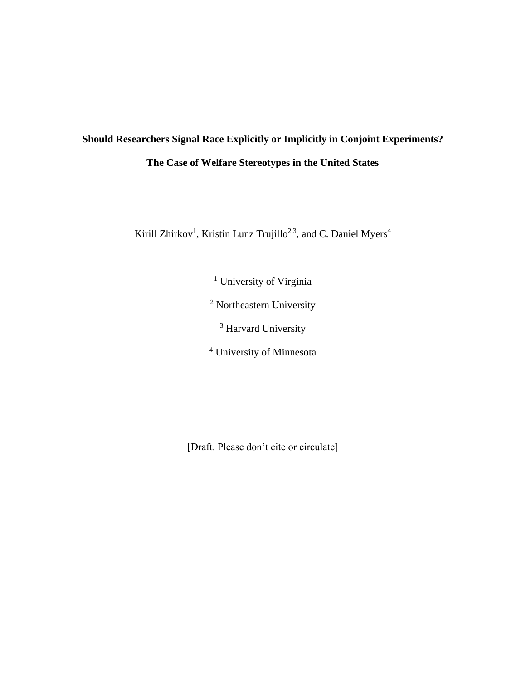# **Should Researchers Signal Race Explicitly or Implicitly in Conjoint Experiments? The Case of Welfare Stereotypes in the United States**

Kirill Zhirkov<sup>1</sup>, Kristin Lunz Trujillo<sup>2,3</sup>, and C. Daniel Myers<sup>4</sup>

<sup>1</sup> University of Virginia

<sup>2</sup> Northeastern University

<sup>3</sup> Harvard University

<sup>4</sup> University of Minnesota

[Draft. Please don't cite or circulate]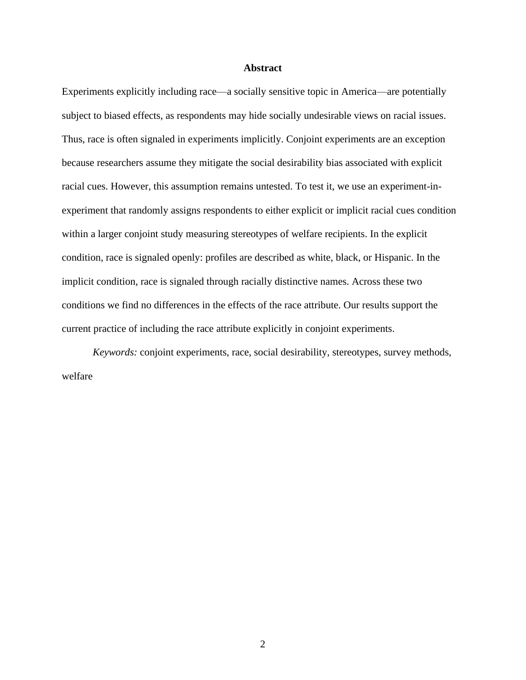### **Abstract**

Experiments explicitly including race—a socially sensitive topic in America—are potentially subject to biased effects, as respondents may hide socially undesirable views on racial issues. Thus, race is often signaled in experiments implicitly. Conjoint experiments are an exception because researchers assume they mitigate the social desirability bias associated with explicit racial cues. However, this assumption remains untested. To test it, we use an experiment-inexperiment that randomly assigns respondents to either explicit or implicit racial cues condition within a larger conjoint study measuring stereotypes of welfare recipients. In the explicit condition, race is signaled openly: profiles are described as white, black, or Hispanic. In the implicit condition, race is signaled through racially distinctive names. Across these two conditions we find no differences in the effects of the race attribute. Our results support the current practice of including the race attribute explicitly in conjoint experiments.

*Keywords:* conjoint experiments, race, social desirability, stereotypes, survey methods, welfare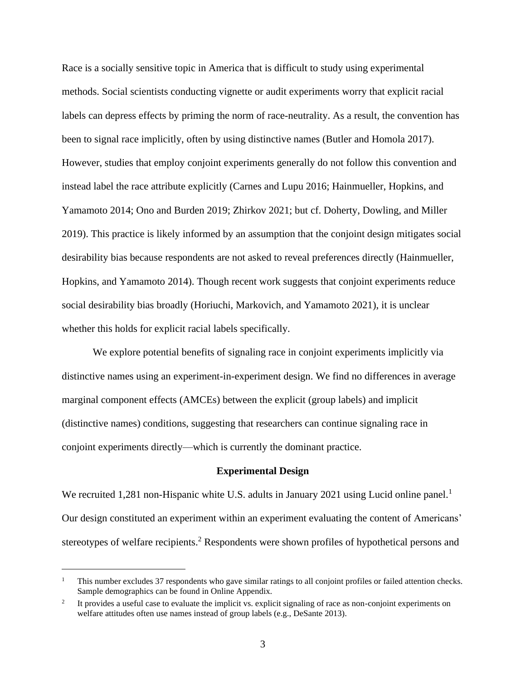Race is a socially sensitive topic in America that is difficult to study using experimental methods. Social scientists conducting vignette or audit experiments worry that explicit racial labels can depress effects by priming the norm of race-neutrality. As a result, the convention has been to signal race implicitly, often by using distinctive names (Butler and Homola 2017). However, studies that employ conjoint experiments generally do not follow this convention and instead label the race attribute explicitly (Carnes and Lupu 2016; Hainmueller, Hopkins, and Yamamoto 2014; Ono and Burden 2019; Zhirkov 2021; but cf. Doherty, Dowling, and Miller 2019). This practice is likely informed by an assumption that the conjoint design mitigates social desirability bias because respondents are not asked to reveal preferences directly (Hainmueller, Hopkins, and Yamamoto 2014). Though recent work suggests that conjoint experiments reduce social desirability bias broadly (Horiuchi, Markovich, and Yamamoto 2021), it is unclear whether this holds for explicit racial labels specifically.

We explore potential benefits of signaling race in conjoint experiments implicitly via distinctive names using an experiment-in-experiment design. We find no differences in average marginal component effects (AMCEs) between the explicit (group labels) and implicit (distinctive names) conditions, suggesting that researchers can continue signaling race in conjoint experiments directly—which is currently the dominant practice.

### **Experimental Design**

We recruited 1,281 non-Hispanic white U.S. adults in January 2021 using Lucid online panel.<sup>1</sup> Our design constituted an experiment within an experiment evaluating the content of Americans' stereotypes of welfare recipients.<sup>2</sup> Respondents were shown profiles of hypothetical persons and

<sup>&</sup>lt;sup>1</sup> This number excludes 37 respondents who gave similar ratings to all conjoint profiles or failed attention checks. Sample demographics can be found in Online Appendix.

<sup>2</sup> It provides a useful case to evaluate the implicit vs. explicit signaling of race as non-conjoint experiments on welfare attitudes often use names instead of group labels (e.g., DeSante 2013).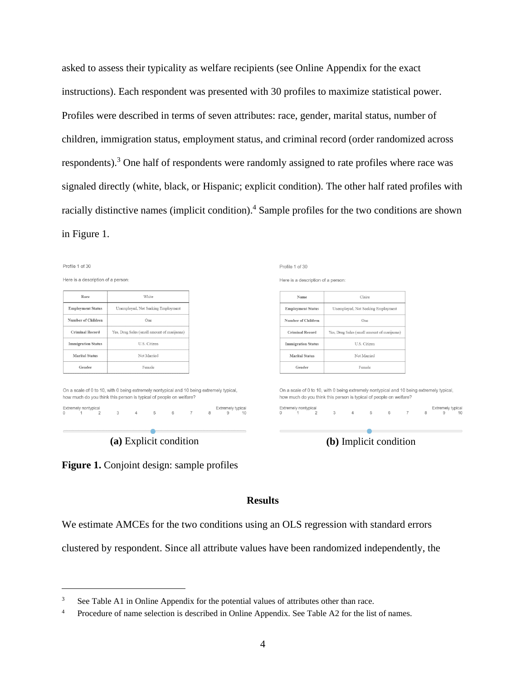asked to assess their typicality as welfare recipients (see Online Appendix for the exact instructions). Each respondent was presented with 30 profiles to maximize statistical power. Profiles were described in terms of seven attributes: race, gender, marital status, number of children, immigration status, employment status, and criminal record (order randomized across respondents).<sup>3</sup> One half of respondents were randomly assigned to rate profiles where race was signaled directly (white, black, or Hispanic; explicit condition). The other half rated profiles with racially distinctive names (implicit condition).<sup>4</sup> Sample profiles for the two conditions are shown in Figure 1.





## **Results**

We estimate AMCEs for the two conditions using an OLS regression with standard errors

clustered by respondent. Since all attribute values have been randomized independently, the

<sup>&</sup>lt;sup>3</sup> See Table A1 in Online Appendix for the potential values of attributes other than race.

<sup>&</sup>lt;sup>4</sup> Procedure of name selection is described in Online Appendix. See Table A2 for the list of names.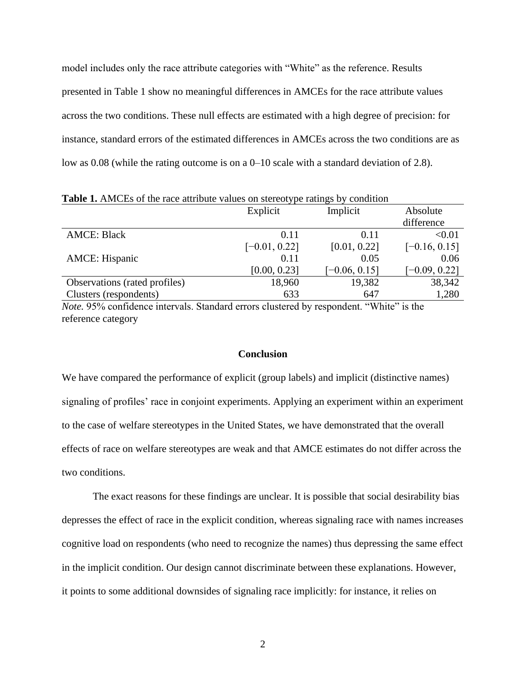model includes only the race attribute categories with "White" as the reference. Results presented in Table 1 show no meaningful differences in AMCEs for the race attribute values across the two conditions. These null effects are estimated with a high degree of precision: for instance, standard errors of the estimated differences in AMCEs across the two conditions are as low as 0.08 (while the rating outcome is on a 0–10 scale with a standard deviation of 2.8).

|                               | Explicit        | Implicit        | Absolute        |
|-------------------------------|-----------------|-----------------|-----------------|
|                               |                 |                 | difference      |
| <b>AMCE: Black</b>            | 0.11            | 0.11            | < 0.01          |
|                               | $[-0.01, 0.22]$ | [0.01, 0.22]    | $[-0.16, 0.15]$ |
| <b>AMCE:</b> Hispanic         | 0.11            | 0.05            | 0.06            |
|                               | [0.00, 0.23]    | $[-0.06, 0.15]$ | $[-0.09, 0.22]$ |
| Observations (rated profiles) | 18,960          | 19,382          | 38,342          |
| Clusters (respondents)        | 633             | 647             | 1,280           |

**Table 1.** AMCEs of the race attribute values on stereotype ratings by condition

*Note.* 95% confidence intervals. Standard errors clustered by respondent. "White" is the reference category

### **Conclusion**

We have compared the performance of explicit (group labels) and implicit (distinctive names) signaling of profiles' race in conjoint experiments. Applying an experiment within an experiment to the case of welfare stereotypes in the United States, we have demonstrated that the overall effects of race on welfare stereotypes are weak and that AMCE estimates do not differ across the two conditions.

The exact reasons for these findings are unclear. It is possible that social desirability bias depresses the effect of race in the explicit condition, whereas signaling race with names increases cognitive load on respondents (who need to recognize the names) thus depressing the same effect in the implicit condition. Our design cannot discriminate between these explanations. However, it points to some additional downsides of signaling race implicitly: for instance, it relies on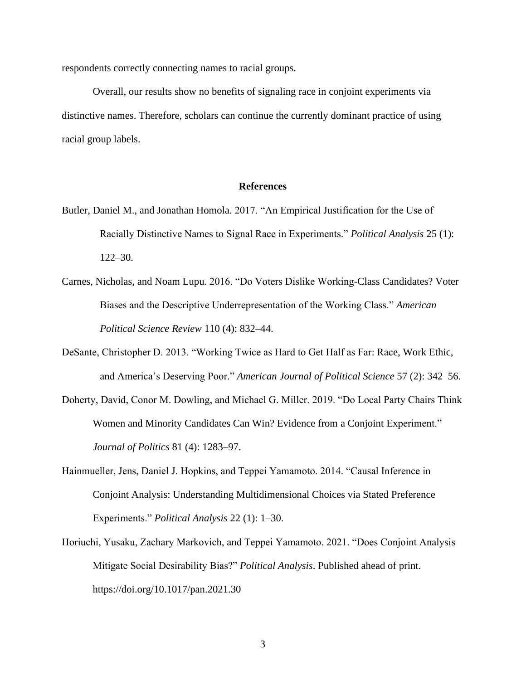respondents correctly connecting names to racial groups.

Overall, our results show no benefits of signaling race in conjoint experiments via distinctive names. Therefore, scholars can continue the currently dominant practice of using racial group labels.

## **References**

- Butler, Daniel M., and Jonathan Homola. 2017. "An Empirical Justification for the Use of Racially Distinctive Names to Signal Race in Experiments." *Political Analysis* 25 (1): 122–30.
- Carnes, Nicholas, and Noam Lupu. 2016. "Do Voters Dislike Working-Class Candidates? Voter Biases and the Descriptive Underrepresentation of the Working Class." *American Political Science Review* 110 (4): 832–44.
- DeSante, Christopher D. 2013. "Working Twice as Hard to Get Half as Far: Race, Work Ethic, and America's Deserving Poor." *American Journal of Political Science* 57 (2): 342–56.
- Doherty, David, Conor M. Dowling, and Michael G. Miller. 2019. "Do Local Party Chairs Think Women and Minority Candidates Can Win? Evidence from a Conjoint Experiment." *Journal of Politics* 81 (4): 1283–97.
- Hainmueller, Jens, Daniel J. Hopkins, and Teppei Yamamoto. 2014. "Causal Inference in Conjoint Analysis: Understanding Multidimensional Choices via Stated Preference Experiments." *Political Analysis* 22 (1): 1–30.
- Horiuchi, Yusaku, Zachary Markovich, and Teppei Yamamoto. 2021. "Does Conjoint Analysis Mitigate Social Desirability Bias?" *Political Analysis*. Published ahead of print. https://doi.org/10.1017/pan.2021.30